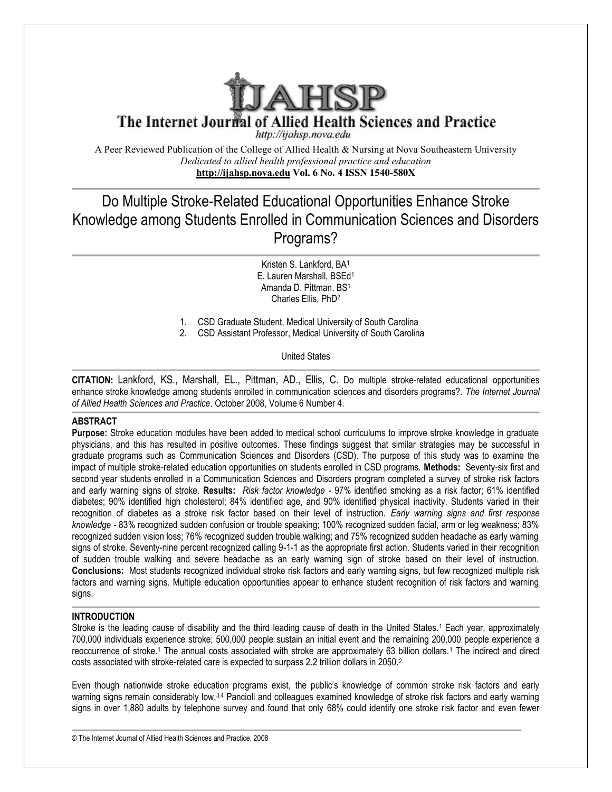

The Internet Journal of Allied Health Sciences and Practice

http://ijahsp.nova.edu

A Peer Reviewed Publication of the College of Allied Health & Nursing at Nova Southeastern University *Dedicated to allied health professional practice and education* **<http://ijahsp.nova.edu> http://ijahsp.nova.edu Vol. 6 No. 4 ISSN 1540-580X** 

# Do Multiple Stroke-Related Educational Opportunities Enhance Stroke Knowledge among Students Enrolled in Communication Sciences and Disorders Knowledge and Programs?

E. Lauren Marshall, BSEd<sup>1</sup> Kristen S. Lankford, BA<sup>1</sup> Amanda D. Pittman, BS<sup>1</sup> Charles Ellis, PhD<sup>2</sup>

- 1. CSD Graduate Student, Medical University of South Carolina
- 2. CSD Assistant Professor, Medical University of South Carolina CSD Graduate Student, Medical Unit<br>CSD Assistant Professor, Medical United<br>United States

CITATION: Lankford, KS., Marshall, EL., Pittman, AD., Ellis, C. Do multiple stroke-related educational opportunities enhance stroke knowledge among students enrolled in communication sciences and disorders programs?. The *Internet Journal* of Allied Health Sciences and Practice. October 2008, Volume 6 Number 4.

## **ABSTRACT**

**Purpose:** Stroke education modules have been added to medical school curriculums to improve stroke knowledge in graduate Purpose: Stroke education modules have been added to medical school curriculums to improve stroke knowledge in graduate<br>physicians, and this has resulted in positive outcomes. These findings suggest that similar strategies graduate programs such as Communication Sciences and Disorders (CSD). The purpose of this study was to examine the impact of multiple stroke-related education opportunities on students enrolled in CSD programs. Methods: Seventysecond year students enrolled in a Communication Sciences and Disorders program completed a survey of stroke risk factors second year students enrolled in a Communication Sciences and Disorders program completed a survey of stroke risk factors<br>and early warning signs of stroke. **Results:** Risk factor knowledge - 97% identified smoking as a ri diabetes; 90% identified high cholesterol; 84% identified age, and 90% identified physical inactivity. Students varied in their recognition of diabetes as a stroke risk factor based on their level of instruction. Early warning signs and first response *knowledge -* 83% recognized sudden confusion or trouble speaking; 100% recognized sudden facial, arm or leg weakness; 83% *knowledge -* 83% recognized sudden confusion or trouble speaking; 100% recognized sudden facial, arm or leg weakness; 83%<br>recognized sudden vision loss; 76% recognized sudden trouble walking; and 75% recognized sudden hea signs of stroke. Seventy-nine percent recognized calling 9-1-1 as the appropriate first action. Students varied in their recognition of sudden trouble walking and severe headache as an early warning sign of stroke based on their level of instruction. **Conclusions:** Most students recognized individual stroke risk factors and early warning signs, but few recognized multiple risk factors and warning signs. Multiple education opportunities appear to enhance student recognition of risk factors and warning signs. Conclusions: Most students recognized individual stroke risk factors and early warning signs, but few recognized multiple risk<br>factors and warning signs. Multiple education opportunities appear to enhance student recogniti y be successful in<br>as to examine the<br>eventy-six first and

## **INTRODUCTION**

700,000 individuals experience stroke; 500,000 people sustain an initial event and the remaining 200,000 people experience a reoccurrence of stroke.<sup>1</sup> The annual costs associated with stroke are approximately 63 billion dollars.<sup>1</sup> The indirect and direct costs associated with stroke-related care is expected to surpass 2.2 trillion dollars in 2050.<sup>2</sup>

Even though nationwide stroke education programs exist, the public's knowledge of common stroke risk factors and early warning signs remain considerably low.<sup>3,4</sup> Pancioli and colleagues examined knowledge of stroke risk factors and early warning warning signs remain considerably low.<sup>3,4</sup> Pancioli and colleagues examined knowledge of stroke risk factors and early warning<br>signs in over 1,880 adults by telephone survey and found that only 68% could identify one stro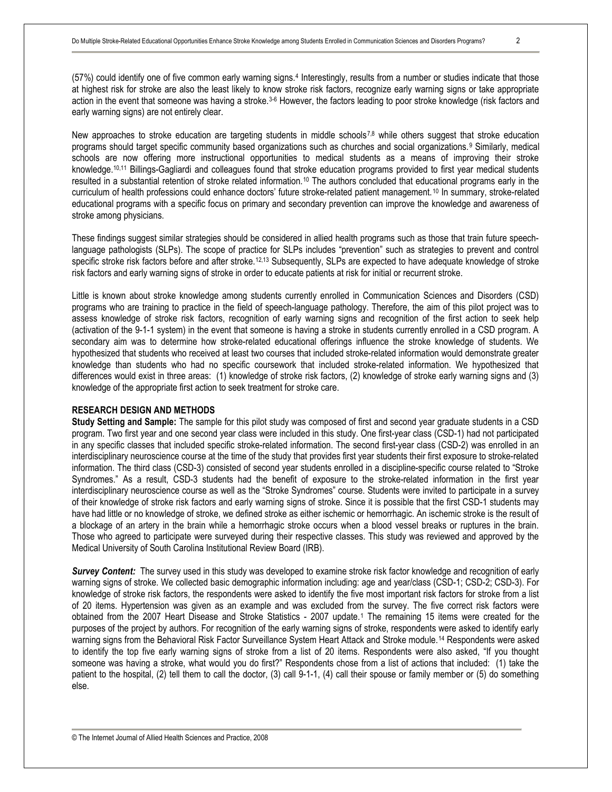(57%) could identify one of five common early warning signs.<sup>4</sup> Interestingly, results from a number or studies indicate that those at highest risk for stroke are also the least likely to know stroke risk factors, recognize early warning signs or take appropriate action in the event that someone was having a stroke.<sup>3-6</sup> However, the factors leading to poor stroke knowledge (risk factors and early warning signs) are not entirely clear.

New approaches to stroke education are targeting students in middle schools7,8 while others suggest that stroke education programs should target specific community based organizations such as churches and social organizations.<sup>9</sup> Similarly, medical schools are now offering more instructional opportunities to medical students as a means of improving their stroke knowledge.10,11 Billings-Gagliardi and colleagues found that stroke education programs provided to first year medical students resulted in a substantial retention of stroke related information.<sup>10</sup> The authors concluded that educational programs early in the curriculum of health professions could enhance doctors' future stroke-related patient management. <sup>10</sup> In summary, stroke-related educational programs with a specific focus on primary and secondary prevention can improve the knowledge and awareness of stroke among physicians.

These findings suggest similar strategies should be considered in allied health programs such as those that train future speechlanguage pathologists (SLPs). The scope of practice for SLPs includes "prevention" such as strategies to prevent and control specific stroke risk factors before and after stroke.<sup>12,13</sup> Subsequently, SLPs are expected to have adequate knowledge of stroke risk factors and early warning signs of stroke in order to educate patients at risk for initial or recurrent stroke.

Little is known about stroke knowledge among students currently enrolled in Communication Sciences and Disorders (CSD) programs who are training to practice in the field of speech-language pathology. Therefore, the aim of this pilot project was to assess knowledge of stroke risk factors, recognition of early warning signs and recognition of the first action to seek help (activation of the 9-1-1 system) in the event that someone is having a stroke in students currently enrolled in a CSD program. A secondary aim was to determine how stroke-related educational offerings influence the stroke knowledge of students. We hypothesized that students who received at least two courses that included stroke-related information would demonstrate greater knowledge than students who had no specific coursework that included stroke-related information. We hypothesized that differences would exist in three areas: (1) knowledge of stroke risk factors, (2) knowledge of stroke early warning signs and (3) knowledge of the appropriate first action to seek treatment for stroke care.

#### **RESEARCH DESIGN AND METHODS**

**Study Setting and Sample:** The sample for this pilot study was composed of first and second year graduate students in a CSD program. Two first year and one second year class were included in this study. One first-year class (CSD-1) had not participated in any specific classes that included specific stroke-related information. The second first-year class (CSD-2) was enrolled in an interdisciplinary neuroscience course at the time of the study that provides first year students their first exposure to stroke-related information. The third class (CSD-3) consisted of second year students enrolled in a discipline-specific course related to "Stroke Syndromes." As a result, CSD-3 students had the benefit of exposure to the stroke-related information in the first year interdisciplinary neuroscience course as well as the "Stroke Syndromes" course. Students were invited to participate in a survey of their knowledge of stroke risk factors and early warning signs of stroke. Since it is possible that the first CSD-1 students may have had little or no knowledge of stroke, we defined stroke as either ischemic or hemorrhagic. An ischemic stroke is the result of a blockage of an artery in the brain while a hemorrhagic stroke occurs when a blood vessel breaks or ruptures in the brain. Those who agreed to participate were surveyed during their respective classes. This study was reviewed and approved by the Medical University of South Carolina Institutional Review Board (IRB).

*Survey Content:* The survey used in this study was developed to examine stroke risk factor knowledge and recognition of early warning signs of stroke. We collected basic demographic information including: age and year/class (CSD-1; CSD-2; CSD-3). For knowledge of stroke risk factors, the respondents were asked to identify the five most important risk factors for stroke from a list of 20 items. Hypertension was given as an example and was excluded from the survey. The five correct risk factors were obtained from the 2007 Heart Disease and Stroke Statistics - 2007 update.<sup>1</sup> The remaining 15 items were created for the purposes of the project by authors. For recognition of the early warning signs of stroke, respondents were asked to identify early warning signs from the Behavioral Risk Factor Surveillance System Heart Attack and Stroke module.<sup>14</sup> Respondents were asked to identify the top five early warning signs of stroke from a list of 20 items. Respondents were also asked, "If you thought someone was having a stroke, what would you do first?" Respondents chose from a list of actions that included: (1) take the patient to the hospital, (2) tell them to call the doctor, (3) call 9-1-1, (4) call their spouse or family member or (5) do something else.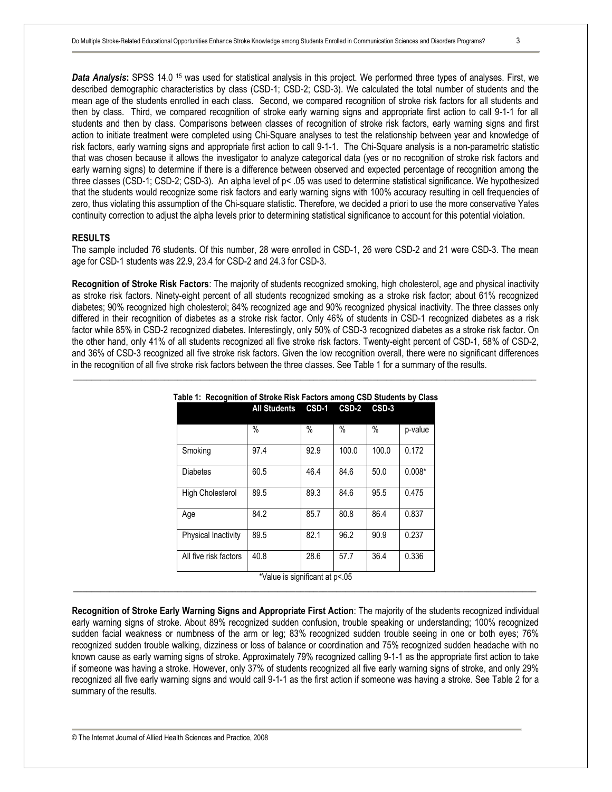*Data Analysis***:** SPSS 14.0 <sup>15</sup> was used for statistical analysis in this project. We performed three types of analyses. First, we described demographic characteristics by class (CSD-1; CSD-2; CSD-3). We calculated the total number of students and the mean age of the students enrolled in each class. Second, we compared recognition of stroke risk factors for all students and then by class. Third, we compared recognition of stroke early warning signs and appropriate first action to call 9-1-1 for all students and then by class. Comparisons between classes of recognition of stroke risk factors, early warning signs and first action to initiate treatment were completed using Chi-Square analyses to test the relationship between year and knowledge of risk factors, early warning signs and appropriate first action to call 9-1-1. The Chi-Square analysis is a non-parametric statistic that was chosen because it allows the investigator to analyze categorical data (yes or no recognition of stroke risk factors and early warning signs) to determine if there is a difference between observed and expected percentage of recognition among the three classes (CSD-1; CSD-2; CSD-3). An alpha level of p< .05 was used to determine statistical significance. We hypothesized that the students would recognize some risk factors and early warning signs with 100% accuracy resulting in cell frequencies of zero, thus violating this assumption of the Chi-square statistic. Therefore, we decided a priori to use the more conservative Yates continuity correction to adjust the alpha levels prior to determining statistical significance to account for this potential violation.

#### **RESULTS**

The sample included 76 students. Of this number, 28 were enrolled in CSD-1, 26 were CSD-2 and 21 were CSD-3. The mean age for CSD-1 students was 22.9, 23.4 for CSD-2 and 24.3 for CSD-3.

**Recognition of Stroke Risk Factors**: The majority of students recognized smoking, high cholesterol, age and physical inactivity as stroke risk factors. Ninety-eight percent of all students recognized smoking as a stroke risk factor; about 61% recognized diabetes; 90% recognized high cholesterol; 84% recognized age and 90% recognized physical inactivity. The three classes only differed in their recognition of diabetes as a stroke risk factor. Only 46% of students in CSD-1 recognized diabetes as a risk factor while 85% in CSD-2 recognized diabetes. Interestingly, only 50% of CSD-3 recognized diabetes as a stroke risk factor. On the other hand, only 41% of all students recognized all five stroke risk factors. Twenty-eight percent of CSD-1, 58% of CSD-2, and 36% of CSD-3 recognized all five stroke risk factors. Given the low recognition overall, there were no significant differences in the recognition of all five stroke risk factors between the three classes. See Table 1 for a summary of the results.

| Table 1: Recognition of Stroke Risk Factors among CSD Students by Class |                        |                |                    |         |          |  |  |  |
|-------------------------------------------------------------------------|------------------------|----------------|--------------------|---------|----------|--|--|--|
|                                                                         | All Students CSD-1     |                | CSD-2              | $CSD-3$ |          |  |  |  |
|                                                                         | $\%$                   | $\%$           | %                  | $\%$    | p-value  |  |  |  |
| Smoking                                                                 | 97.4                   | 92.9           | 100.0              | 100.0   | 0.172    |  |  |  |
| <b>Diabetes</b>                                                         | 60.5                   | 46.4           | 84.6               | 50.0    | $0.008*$ |  |  |  |
| <b>High Cholesterol</b>                                                 | 89.5                   | 89.3           | 84.6               | 95.5    | 0.475    |  |  |  |
| Age                                                                     | 84.2                   | 85.7           | 80.8               | 86.4    | 0.837    |  |  |  |
| Physical Inactivity                                                     | 89.5                   | 82.1           | 96.2               | 90.9    | 0.237    |  |  |  |
| All five risk factors                                                   | 40.8<br>$\sim$<br>$-1$ | 28.6<br>$\sim$ | 57.7<br>$\sim$ $-$ | 36.4    | 0.336    |  |  |  |

|  |  |  |  | able 1: Recognition of Stroke Risk Factors among CSD Students by Class |  |
|--|--|--|--|------------------------------------------------------------------------|--|
|  |  |  |  |                                                                        |  |

\_\_\_\_\_\_\_\_\_\_\_\_\_\_\_\_\_\_\_\_\_\_\_\_\_\_\_\_\_\_\_\_\_\_\_\_\_\_\_\_\_\_\_\_\_\_\_\_\_\_\_\_\_\_\_\_\_\_\_\_\_\_\_\_\_\_\_\_\_\_\_\_\_\_\_\_\_\_\_\_\_\_\_\_\_\_\_\_\_\_\_\_\_\_\_\_\_\_\_\_\_\_

\*Value is significant at p<.05 \_\_\_\_\_\_\_\_\_\_\_\_\_\_\_\_\_\_\_\_\_\_\_\_\_\_\_\_\_\_\_\_\_\_\_\_\_\_\_\_\_\_\_\_\_\_\_\_\_\_\_\_\_\_\_\_\_\_\_\_\_\_\_\_\_\_\_\_\_\_\_\_\_\_\_\_\_\_\_\_\_\_\_\_\_\_\_\_\_\_\_\_\_\_\_\_\_\_\_\_\_\_

**Recognition of Stroke Early Warning Signs and Appropriate First Action**: The majority of the students recognized individual early warning signs of stroke. About 89% recognized sudden confusion, trouble speaking or understanding; 100% recognized sudden facial weakness or numbness of the arm or leg; 83% recognized sudden trouble seeing in one or both eyes; 76% recognized sudden trouble walking, dizziness or loss of balance or coordination and 75% recognized sudden headache with no known cause as early warning signs of stroke. Approximately 79% recognized calling 9-1-1 as the appropriate first action to take if someone was having a stroke. However, only 37% of students recognized all five early warning signs of stroke, and only 29% recognized all five early warning signs and would call 9-1-1 as the first action if someone was having a stroke. See Table 2 for a summary of the results.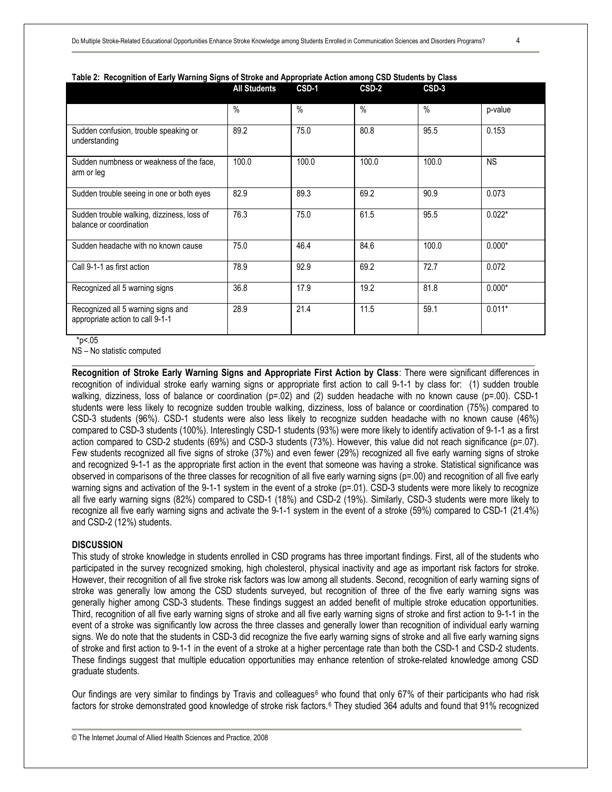|                                                                        | <b>All Students</b> | CSD-1         | CSD-2           | CSD-3         |           |
|------------------------------------------------------------------------|---------------------|---------------|-----------------|---------------|-----------|
|                                                                        | $\frac{0}{0}$       | $\frac{0}{0}$ | $\overline{\%}$ | $\frac{0}{0}$ | p-value   |
| Sudden confusion, trouble speaking or<br>understanding                 | 89.2                | 75.0          | 80.8            | 95.5          | 0.153     |
| Sudden numbness or weakness of the face.<br>arm or leg                 | 100.0               | 100.0         | 100.0           | 100.0         | <b>NS</b> |
| Sudden trouble seeing in one or both eyes                              | 82.9                | 89.3          | 69.2            | 90.9          | 0.073     |
| Sudden trouble walking, dizziness, loss of<br>balance or coordination  | 76.3                | 75.0          | 61.5            | 95.5          | $0.022*$  |
| Sudden headache with no known cause                                    | 75.0                | 46.4          | 84.6            | 100.0         | $0.000*$  |
| Call 9-1-1 as first action                                             | 78.9                | 92.9          | 69.2            | 72.7          | 0.072     |
| Recognized all 5 warning signs                                         | 36.8                | 17.9          | 19.2            | 81.8          | $0.000*$  |
| Recognized all 5 warning signs and<br>appropriate action to call 9-1-1 | 28.9                | 21.4          | 11.5            | 59.1          | $0.011*$  |

**Table 2: Recognition of Early Warning Signs of Stroke and Appropriate Action among CSD Students by Class** 

 $*_{p<.05}$ 

NS – No statistic computed

**Recognition of Stroke Early Warning Signs and Appropriate First Action by Class**: There were significant differences in recognition of individual stroke early warning signs or appropriate first action to call 9-1-1 by class for: (1) sudden trouble walking, dizziness, loss of balance or coordination (p=.02) and (2) sudden headache with no known cause (p=.00). CSD-1 students were less likely to recognize sudden trouble walking, dizziness, loss of balance or coordination (75%) compared to CSD-3 students (96%). CSD-1 students were also less likely to recognize sudden headache with no known cause (46%) compared to CSD-3 students (100%). Interestingly CSD-1 students (93%) were more likely to identify activation of 9-1-1 as a first action compared to CSD-2 students (69%) and CSD-3 students (73%). However, this value did not reach significance (p=.07). Few students recognized all five signs of stroke (37%) and even fewer (29%) recognized all five early warning signs of stroke and recognized 9-1-1 as the appropriate first action in the event that someone was having a stroke. Statistical significance was observed in comparisons of the three classes for recognition of all five early warning signs (p=.00) and recognition of all five early warning signs and activation of the 9-1-1 system in the event of a stroke (p=.01). CSD-3 students were more likely to recognize all five early warning signs (82%) compared to CSD-1 (18%) and CSD-2 (19%). Similarly, CSD-3 students were more likely to recognize all five early warning signs and activate the 9-1-1 system in the event of a stroke (59%) compared to CSD-1 (21.4%) and CSD-2 (12%) students.

\_\_\_\_\_\_\_\_\_\_\_\_\_\_\_\_\_\_\_\_\_\_\_\_\_\_\_\_\_\_\_\_\_\_\_\_\_\_\_\_\_\_\_\_\_\_\_\_\_\_\_\_\_\_\_\_\_\_\_\_\_\_\_\_\_\_\_\_\_\_\_\_\_\_\_\_\_\_\_\_\_\_\_\_\_\_\_\_\_\_\_\_\_\_\_\_\_\_\_\_\_\_

#### **DISCUSSION**

This study of stroke knowledge in students enrolled in CSD programs has three important findings. First, all of the students who participated in the survey recognized smoking, high cholesterol, physical inactivity and age as important risk factors for stroke. However, their recognition of all five stroke risk factors was low among all students. Second, recognition of early warning signs of stroke was generally low among the CSD students surveyed, but recognition of three of the five early warning signs was generally higher among CSD-3 students. These findings suggest an added benefit of multiple stroke education opportunities. Third, recognition of all five early warning signs of stroke and all five early warning signs of stroke and first action to 9-1-1 in the event of a stroke was significantly low across the three classes and generally lower than recognition of individual early warning signs. We do note that the students in CSD-3 did recognize the five early warning signs of stroke and all five early warning signs of stroke and first action to 9-1-1 in the event of a stroke at a higher percentage rate than both the CSD-1 and CSD-2 students. These findings suggest that multiple education opportunities may enhance retention of stroke-related knowledge among CSD graduate students.

Our findings are very similar to findings by Travis and colleagues<sup>6</sup> who found that only 67% of their participants who had risk factors for stroke demonstrated good knowledge of stroke risk factors.<sup>6</sup> They studied 364 adults and found that 91% recognized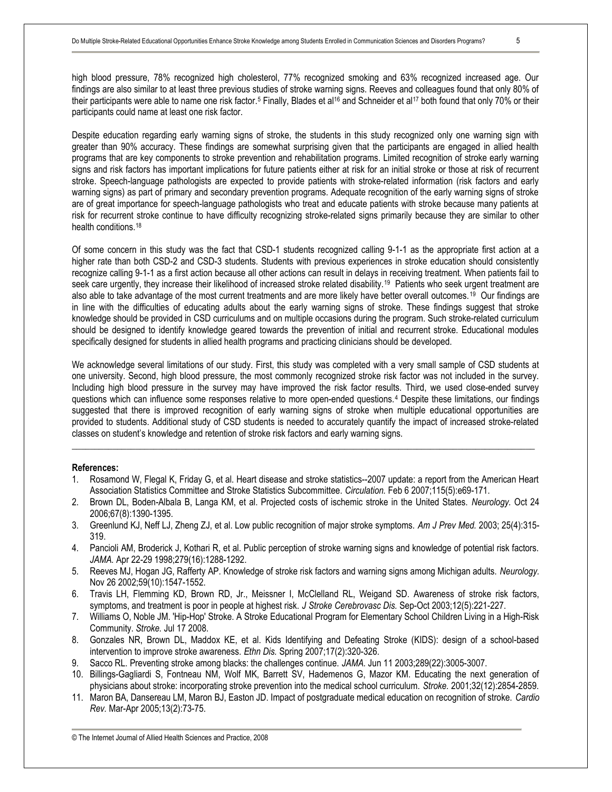high blood pressure, 78% recognized high cholesterol, 77% recognized smoking and 63% recognized increased age. Our findings are also similar to at least three previous studies of stroke warning signs. Reeves and colleagues found that only 80% of their participants were able to name one risk factor.<sup>5</sup> Finally, Blades et al<sup>16</sup> and Schneider et al<sup>17</sup> both found that only 70% or their participants could name at least one risk factor.

Despite education regarding early warning signs of stroke, the students in this study recognized only one warning sign with greater than 90% accuracy. These findings are somewhat surprising given that the participants are engaged in allied health programs that are key components to stroke prevention and rehabilitation programs. Limited recognition of stroke early warning signs and risk factors has important implications for future patients either at risk for an initial stroke or those at risk of recurrent stroke. Speech-language pathologists are expected to provide patients with stroke-related information (risk factors and early warning signs) as part of primary and secondary prevention programs. Adequate recognition of the early warning signs of stroke are of great importance for speech-language pathologists who treat and educate patients with stroke because many patients at risk for recurrent stroke continue to have difficulty recognizing stroke-related signs primarily because they are similar to other health conditions.<sup>18</sup>

Of some concern in this study was the fact that CSD-1 students recognized calling 9-1-1 as the appropriate first action at a higher rate than both CSD-2 and CSD-3 students. Students with previous experiences in stroke education should consistently recognize calling 9-1-1 as a first action because all other actions can result in delays in receiving treatment. When patients fail to seek care urgently, they increase their likelihood of increased stroke related disability.<sup>19</sup> Patients who seek urgent treatment are also able to take advantage of the most current treatments and are more likely have better overall outcomes.<sup>19</sup> Our findings are in line with the difficulties of educating adults about the early warning signs of stroke. These findings suggest that stroke knowledge should be provided in CSD curriculums and on multiple occasions during the program. Such stroke-related curriculum should be designed to identify knowledge geared towards the prevention of initial and recurrent stroke. Educational modules specifically designed for students in allied health programs and practicing clinicians should be developed.

We acknowledge several limitations of our study. First, this study was completed with a very small sample of CSD students at one university. Second, high blood pressure, the most commonly recognized stroke risk factor was not included in the survey. Including high blood pressure in the survey may have improved the risk factor results. Third, we used close-ended survey questions which can influence some responses relative to more open-ended questions.<sup>4</sup> Despite these limitations, our findings suggested that there is improved recognition of early warning signs of stroke when multiple educational opportunities are provided to students. Additional study of CSD students is needed to accurately quantify the impact of increased stroke-related classes on student's knowledge and retention of stroke risk factors and early warning signs.

### **References:**

1. Rosamond W, Flegal K, Friday G, et al. Heart disease and stroke statistics--2007 update: a report from the American Heart Association Statistics Committee and Stroke Statistics Subcommittee. *Circulation.* Feb 6 2007;115(5):e69-171.

\_\_\_\_\_\_\_\_\_\_\_\_\_\_\_\_\_\_\_\_\_\_\_\_\_\_\_\_\_\_\_\_\_\_\_\_\_\_\_\_\_\_\_\_\_\_\_\_\_\_\_\_\_\_\_\_\_\_\_\_\_\_\_\_\_\_\_\_\_\_\_\_\_\_\_\_\_\_\_\_\_\_\_\_\_\_\_\_\_\_\_\_\_\_\_\_\_\_\_\_\_\_

- 2. Brown DL, Boden-Albala B, Langa KM, et al. Projected costs of ischemic stroke in the United States. *Neurology.* Oct 24 2006;67(8):1390-1395.
- 3. Greenlund KJ, Neff LJ, Zheng ZJ, et al. Low public recognition of major stroke symptoms. *Am J Prev Med.* 2003; 25(4):315- 319.
- 4. Pancioli AM, Broderick J, Kothari R, et al. Public perception of stroke warning signs and knowledge of potential risk factors. *JAMA.* Apr 22-29 1998;279(16):1288-1292.
- 5. Reeves MJ, Hogan JG, Rafferty AP. Knowledge of stroke risk factors and warning signs among Michigan adults. *Neurology.*  Nov 26 2002;59(10):1547-1552.
- 6. Travis LH, Flemming KD, Brown RD, Jr., Meissner I, McClelland RL, Weigand SD. Awareness of stroke risk factors, symptoms, and treatment is poor in people at highest risk. *J Stroke Cerebrovasc Dis.* Sep-Oct 2003;12(5):221-227.
- 7. Williams O, Noble JM. 'Hip-Hop' Stroke. A Stroke Educational Program for Elementary School Children Living in a High-Risk Community. *Stroke.* Jul 17 2008.
- 8. Gonzales NR, Brown DL, Maddox KE, et al. Kids Identifying and Defeating Stroke (KIDS): design of a school-based intervention to improve stroke awareness. *Ethn Dis.* Spring 2007;17(2):320-326.
- 9. Sacco RL. Preventing stroke among blacks: the challenges continue. *JAMA.* Jun 11 2003;289(22):3005-3007.
- 10. Billings-Gagliardi S, Fontneau NM, Wolf MK, Barrett SV, Hademenos G, Mazor KM. Educating the next generation of physicians about stroke: incorporating stroke prevention into the medical school curriculum. *Stroke.* 2001;32(12):2854-2859.
- 11. Maron BA, Dansereau LM, Maron BJ, Easton JD. Impact of postgraduate medical education on recognition of stroke. *Cardio Rev.* Mar-Apr 2005;13(2):73-75.

© The Internet Journal of Allied Health Sciences and Practice, 2008